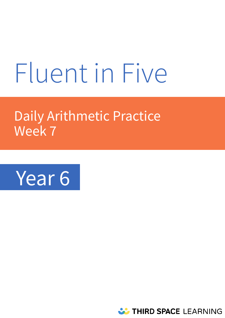# Fluent in Five

# Daily Arithmetic Practice Week 7



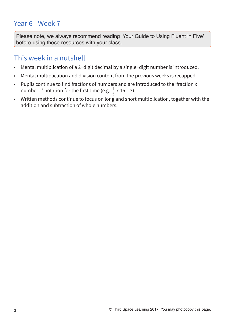# Year 6 - Week 7

**Please note, we always recommend reading 'Your Guide to Using Fluent in Five' before using these resources with your class.** 

# This week in a nutshell

- Mental multiplication of a 2−digit decimal by a single−digit number is introduced.
- Mental multiplication and division content from the previous weeks is recapped.
- Pupils continue to find fractions of numbers and are introduced to the 'fraction x number =' notation for the first time (e.g.  $\frac{1}{5}$  x 15 = 3). 5
- Written methods continue to focus on long and short multiplication, together with the addition and subtraction of whole numbers.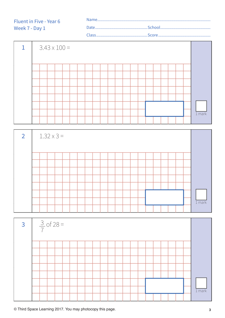#### Name........................................................................................................ Date................................................School.............................................. Class...............................................Score................................................ Fluent in Five - Year 6 Week 7 - Day 1







**© Third Space Learning 2017. You may photocopy this page. 3**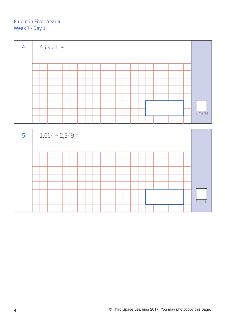

1 mark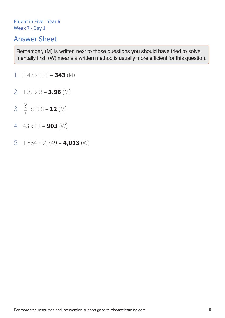# Answer Sheet

- 1.  $3.43 \times 100 = 343$  (M)
- 2.  $1.32 \times 3 = 3.96$  (M)
- 3.  $\frac{3}{7}$  of 28 = **12** (M) 3 7
- 4.  $43 \times 21 = 903$  (W)
- 5. 1,664 + 2,349 = **4,013** (W)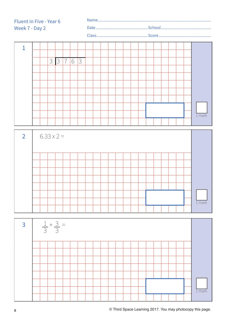Name........................ 



| $\overline{2}$ | $6.33 \times 2 =$ |          |  |  |  |  |  |  |  |  |  |  |  |  |  |
|----------------|-------------------|----------|--|--|--|--|--|--|--|--|--|--|--|--|--|
|                |                   |          |  |  |  |  |  |  |  |  |  |  |  |  |  |
|                |                   |          |  |  |  |  |  |  |  |  |  |  |  |  |  |
|                |                   |          |  |  |  |  |  |  |  |  |  |  |  |  |  |
|                |                   |          |  |  |  |  |  |  |  |  |  |  |  |  |  |
|                |                   |          |  |  |  |  |  |  |  |  |  |  |  |  |  |
|                |                   |          |  |  |  |  |  |  |  |  |  |  |  |  |  |
|                |                   |          |  |  |  |  |  |  |  |  |  |  |  |  |  |
|                |                   | $1$ mark |  |  |  |  |  |  |  |  |  |  |  |  |  |

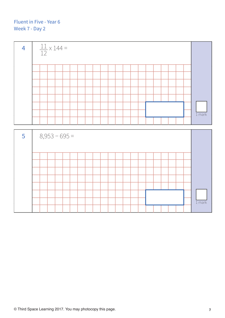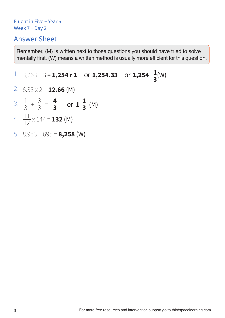# Answer Sheet

**Remember, (M) is written next to those questions you should have tried to solve mentally first. (W) means a written method is usually more efficient for this question.** 

#### 1.  $3,763 \div 3 = 1,254$  r 1 or 1,254.33 or 1,254  $\frac{1}{2}$ (W) **3**

- 2. 6.33 x 2 = **12.66** (M)
- 3.  $\frac{1}{3} + \frac{5}{3} = \frac{4}{3}$  or  $1\frac{1}{3}$  (M) 1 3 3 3 **4 3 1 3**
- 4.  $\frac{11}{12} \times 144 = 132$  (M) 11 12
- 5. 8,953 − 695 = **8,258** (W)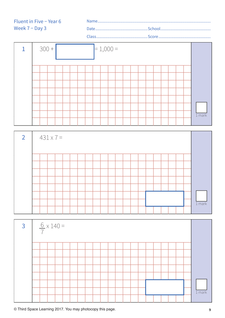Name........................................................................................................ Date................................................School..............................................

Class...............................................Score................................................







**© Third Space Learning 2017. You may photocopy this page. 9**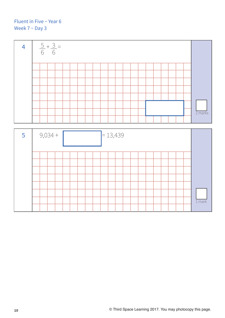

1 mark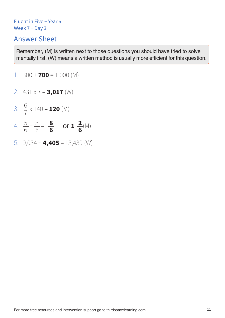# Answer Sheet

- 1.  $300 + 700 = 1,000$  (M)
- 2. 431 x 7 = **3,017** (W)
- 3.  $\frac{0}{7}$  x 140 = **120** (M) 6 7
- 4.  $\frac{5}{6} + \frac{3}{6} = \frac{8}{6}$  or **1**  $\frac{2}{6}$  (M) 6 3 6 **8 6 2 6**
- 5. 9,034 + **4,405** = 13,439 (W)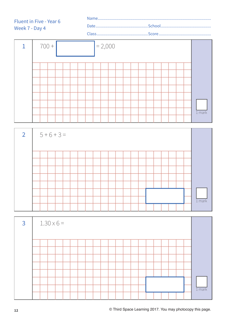| <b>Fluent in Five - Year 6</b> |  |
|--------------------------------|--|
|                                |  |
| Week 7 - Day 4                 |  |





| $\overline{3}$ | $1.30 \times 6 =$ |  |  |  |  |  |  |  |  |  |  |  |  |  |  |  |  |  |  |          |
|----------------|-------------------|--|--|--|--|--|--|--|--|--|--|--|--|--|--|--|--|--|--|----------|
|                |                   |  |  |  |  |  |  |  |  |  |  |  |  |  |  |  |  |  |  |          |
|                |                   |  |  |  |  |  |  |  |  |  |  |  |  |  |  |  |  |  |  |          |
|                |                   |  |  |  |  |  |  |  |  |  |  |  |  |  |  |  |  |  |  |          |
|                |                   |  |  |  |  |  |  |  |  |  |  |  |  |  |  |  |  |  |  |          |
|                |                   |  |  |  |  |  |  |  |  |  |  |  |  |  |  |  |  |  |  |          |
|                |                   |  |  |  |  |  |  |  |  |  |  |  |  |  |  |  |  |  |  |          |
|                |                   |  |  |  |  |  |  |  |  |  |  |  |  |  |  |  |  |  |  |          |
|                |                   |  |  |  |  |  |  |  |  |  |  |  |  |  |  |  |  |  |  | $1$ mark |
|                |                   |  |  |  |  |  |  |  |  |  |  |  |  |  |  |  |  |  |  |          |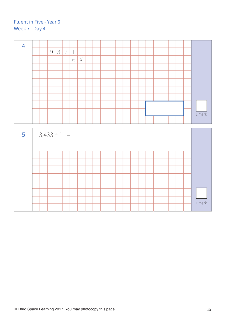| $\overline{4}$ |  |                   |   |   |         |   |  |  |  |  |  |  |  |                    |
|----------------|--|-------------------|---|---|---------|---|--|--|--|--|--|--|--|--------------------|
|                |  | 9                 | 3 | 2 | $\perp$ |   |  |  |  |  |  |  |  |                    |
|                |  |                   |   |   | 6       | X |  |  |  |  |  |  |  |                    |
|                |  |                   |   |   |         |   |  |  |  |  |  |  |  |                    |
|                |  |                   |   |   |         |   |  |  |  |  |  |  |  |                    |
|                |  |                   |   |   |         |   |  |  |  |  |  |  |  |                    |
|                |  |                   |   |   |         |   |  |  |  |  |  |  |  |                    |
|                |  |                   |   |   |         |   |  |  |  |  |  |  |  |                    |
|                |  |                   |   |   |         |   |  |  |  |  |  |  |  |                    |
|                |  |                   |   |   |         |   |  |  |  |  |  |  |  |                    |
|                |  |                   |   |   |         |   |  |  |  |  |  |  |  |                    |
|                |  |                   |   |   |         |   |  |  |  |  |  |  |  |                    |
|                |  |                   |   |   |         |   |  |  |  |  |  |  |  | $1\,\mathrm{mark}$ |
|                |  |                   |   |   |         |   |  |  |  |  |  |  |  |                    |
|                |  |                   |   |   |         |   |  |  |  |  |  |  |  |                    |
|                |  |                   |   |   |         |   |  |  |  |  |  |  |  |                    |
|                |  |                   |   |   |         |   |  |  |  |  |  |  |  |                    |
| 5              |  | $3,433 \div 11 =$ |   |   |         |   |  |  |  |  |  |  |  |                    |
|                |  |                   |   |   |         |   |  |  |  |  |  |  |  |                    |
|                |  |                   |   |   |         |   |  |  |  |  |  |  |  |                    |
|                |  |                   |   |   |         |   |  |  |  |  |  |  |  |                    |
|                |  |                   |   |   |         |   |  |  |  |  |  |  |  |                    |
|                |  |                   |   |   |         |   |  |  |  |  |  |  |  |                    |
|                |  |                   |   |   |         |   |  |  |  |  |  |  |  |                    |
|                |  |                   |   |   |         |   |  |  |  |  |  |  |  |                    |
|                |  |                   |   |   |         |   |  |  |  |  |  |  |  |                    |
|                |  |                   |   |   |         |   |  |  |  |  |  |  |  |                    |
|                |  |                   |   |   |         |   |  |  |  |  |  |  |  |                    |
|                |  |                   |   |   |         |   |  |  |  |  |  |  |  | $1$ mark           |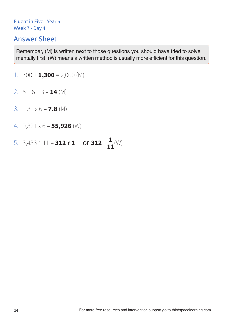### Answer Sheet

- 1.  $700 + 1,300 = 2,000$  (M)
- 2.  $5 + 6 + 3 = 14$  (M)
- 3. 1.30 x 6 = **7.8** (M)
- 4. 9,321 x 6 = **55,926** (W)
- 5.  $3,433 \div 11 = 312 \text{ r } 1 \text{ or } 312 \frac{1}{11}$  (W) **11**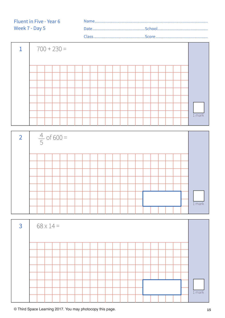



| $\overline{3}$ | $68 \times 14 =$ |  |  |  |  |  |  |  |  |  |  |  |  |  |  |  |  |  |          |
|----------------|------------------|--|--|--|--|--|--|--|--|--|--|--|--|--|--|--|--|--|----------|
|                |                  |  |  |  |  |  |  |  |  |  |  |  |  |  |  |  |  |  |          |
|                |                  |  |  |  |  |  |  |  |  |  |  |  |  |  |  |  |  |  |          |
|                |                  |  |  |  |  |  |  |  |  |  |  |  |  |  |  |  |  |  |          |
|                |                  |  |  |  |  |  |  |  |  |  |  |  |  |  |  |  |  |  |          |
|                |                  |  |  |  |  |  |  |  |  |  |  |  |  |  |  |  |  |  |          |
|                |                  |  |  |  |  |  |  |  |  |  |  |  |  |  |  |  |  |  |          |
|                |                  |  |  |  |  |  |  |  |  |  |  |  |  |  |  |  |  |  |          |
|                |                  |  |  |  |  |  |  |  |  |  |  |  |  |  |  |  |  |  | $1$ mark |
|                |                  |  |  |  |  |  |  |  |  |  |  |  |  |  |  |  |  |  |          |

**© Third Space Learning 2017. You may photocopy this page. 15**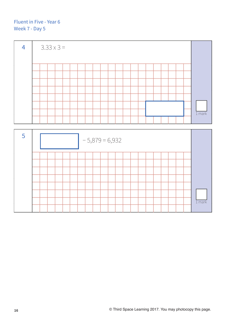